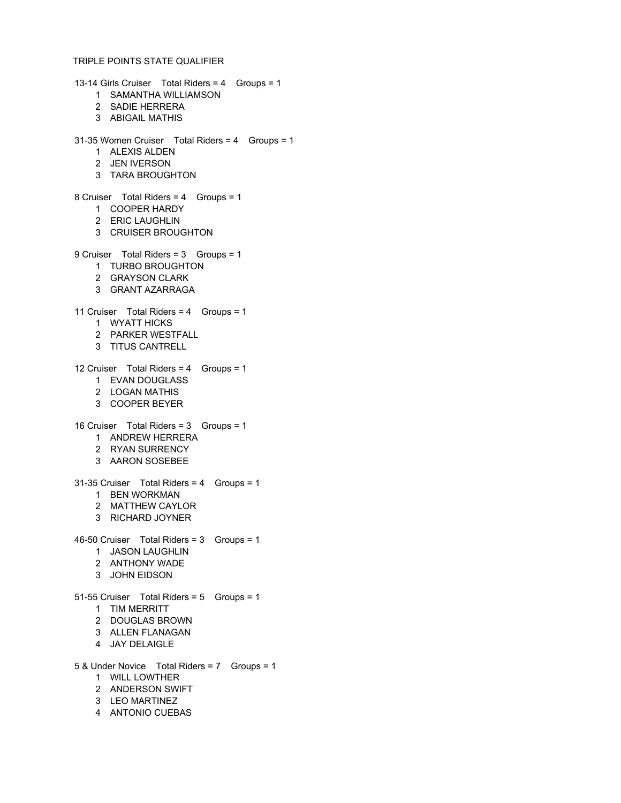13-14 Girls Cruiser Total Riders = 4 Groups = 1 SAMANTHA WILLIAMSON SADIE HERRERA ABIGAIL MATHIS 31-35 Women Cruiser Total Riders = 4 Groups = 1 ALEXIS ALDEN JEN IVERSON TARA BROUGHTON 8 Cruiser Total Riders = 4 Groups = 1 COOPER HARDY ERIC LAUGHLIN CRUISER BROUGHTON 9 Cruiser Total Riders = 3 Groups = 1 TURBO BROUGHTON GRAYSON CLARK GRANT AZARRAGA 11 Cruiser Total Riders = 4 Groups = 1 WYATT HICKS PARKER WESTFALL TITUS CANTRELL 12 Cruiser Total Riders = 4 Groups = 1 EVAN DOUGLASS LOGAN MATHIS COOPER BEYER 16 Cruiser Total Riders = 3 Groups = 1 ANDREW HERRERA RYAN SURRENCY AARON SOSEBEE 31-35 Cruiser Total Riders = 4 Groups = 1 BEN WORKMAN MATTHEW CAYLOR RICHARD JOYNER 46-50 Cruiser Total Riders = 3 Groups = 1 JASON LAUGHLIN ANTHONY WADE JOHN EIDSON 51-55 Cruiser Total Riders = 5 Groups = 1 TIM MERRITT DOUGLAS BROWN ALLEN FLANAGAN JAY DELAIGLE 5 & Under Novice Total Riders = 7 Groups = 1 WILL LOWTHER ANDERSON SWIFT LEO MARTINEZ

ANTONIO CUEBAS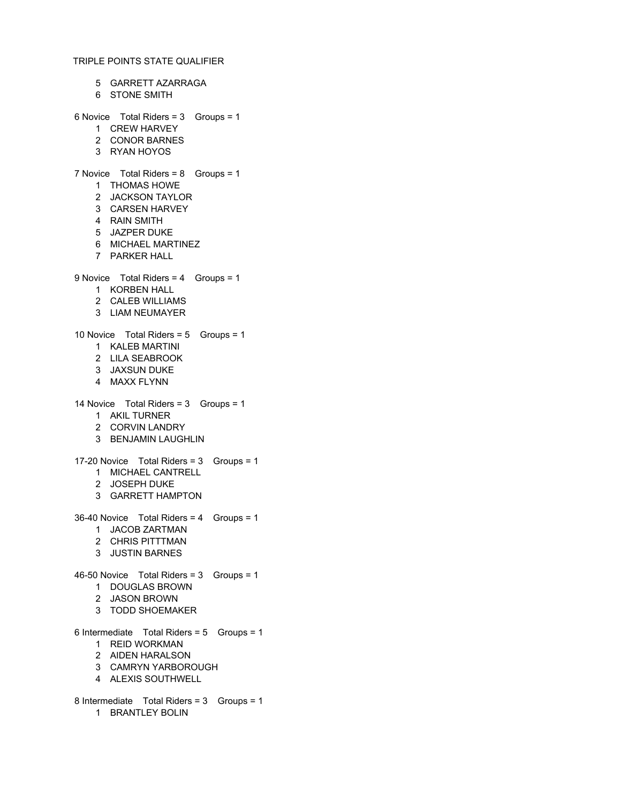- GARRETT AZARRAGA
- STONE SMITH

# 6 Novice Total Riders = 3 Groups = 1

- CREW HARVEY
- CONOR BARNES
- RYAN HOYOS

# 7 Novice Total Riders = 8 Groups = 1

- THOMAS HOWE
- JACKSON TAYLOR
- CARSEN HARVEY
- RAIN SMITH
- JAZPER DUKE
- MICHAEL MARTINEZ
- PARKER HALL

### 9 Novice Total Riders = 4 Groups = 1

- KORBEN HALL
- CALEB WILLIAMS
- LIAM NEUMAYER

#### 10 Novice Total Riders = 5 Groups = 1

- KALEB MARTINI
- LILA SEABROOK
- JAXSUN DUKE
- MAXX FLYNN

#### 14 Novice Total Riders = 3 Groups = 1

- AKIL TURNER
- CORVIN LANDRY
- BENJAMIN LAUGHLIN

#### 17-20 Novice Total Riders = 3 Groups = 1

- MICHAEL CANTRELL
- JOSEPH DUKE
- GARRETT HAMPTON
- 36-40 Novice Total Riders = 4 Groups = 1
	- JACOB ZARTMAN
	- CHRIS PITTTMAN
	- JUSTIN BARNES

## 46-50 Novice Total Riders = 3 Groups = 1

- DOUGLAS BROWN
- JASON BROWN
- TODD SHOEMAKER

#### 6 Intermediate Total Riders = 5 Groups = 1

- REID WORKMAN
- AIDEN HARALSON
- CAMRYN YARBOROUGH
- ALEXIS SOUTHWELL
- 8 Intermediate Total Riders = 3 Groups = 1 BRANTLEY BOLIN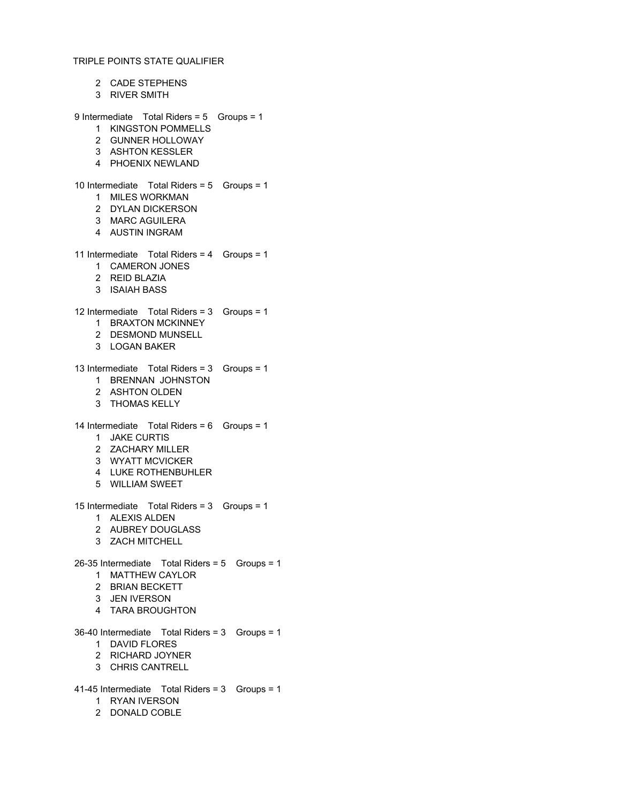CADE STEPHENS RIVER SMITH 9 Intermediate Total Riders = 5 Groups = 1 KINGSTON POMMELLS GUNNER HOLLOWAY ASHTON KESSLER PHOENIX NEWLAND 10 Intermediate Total Riders = 5 Groups = 1 MILES WORKMAN DYLAN DICKERSON MARC AGUILERA AUSTIN INGRAM 11 Intermediate Total Riders = 4 Groups = 1 CAMERON JONES REID BLAZIA ISAIAH BASS 12 Intermediate Total Riders = 3 Groups = 1 BRAXTON MCKINNEY DESMOND MUNSELL LOGAN BAKER 13 Intermediate Total Riders = 3 Groups = 1 BRENNAN JOHNSTON ASHTON OLDEN THOMAS KELLY 14 Intermediate Total Riders = 6 Groups = 1 JAKE CURTIS ZACHARY MILLER WYATT MCVICKER LUKE ROTHENBUHLER WILLIAM SWEET 15 Intermediate Total Riders = 3 Groups = 1 ALEXIS ALDEN AUBREY DOUGLASS ZACH MITCHELL 26-35 Intermediate Total Riders = 5 Groups = 1 MATTHEW CAYLOR BRIAN BECKETT JEN IVERSON TARA BROUGHTON 36-40 Intermediate Total Riders = 3 Groups = 1 DAVID FLORES RICHARD JOYNER CHRIS CANTRELL 41-45 Intermediate Total Riders = 3 Groups = 1 RYAN IVERSON

- 
- DONALD COBLE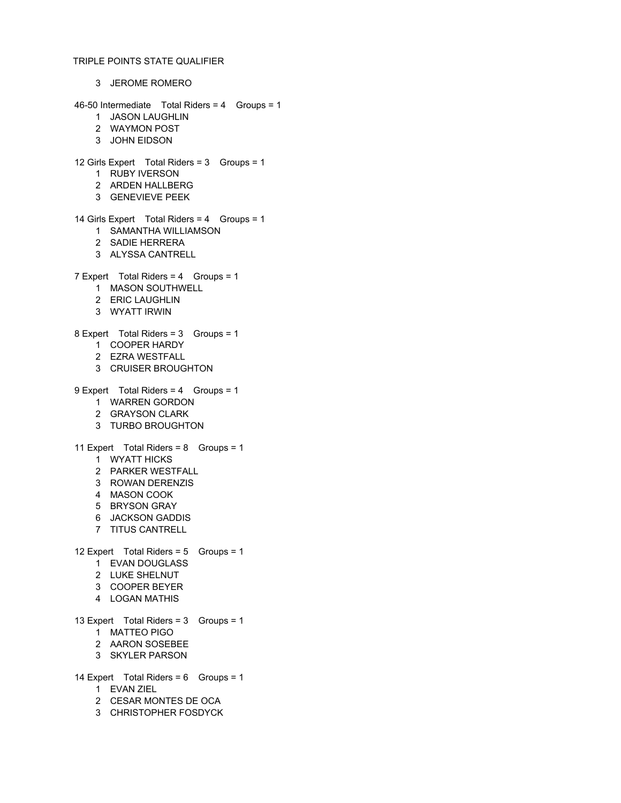JEROME ROMERO 46-50 Intermediate Total Riders = 4 Groups = 1 JASON LAUGHLIN WAYMON POST JOHN EIDSON 12 Girls Expert Total Riders = 3 Groups = 1 RUBY IVERSON ARDEN HALLBERG GENEVIEVE PEEK 14 Girls Expert Total Riders = 4 Groups = 1 SAMANTHA WILLIAMSON SADIE HERRERA ALYSSA CANTRELL 7 Expert Total Riders = 4 Groups = 1 MASON SOUTHWELL ERIC LAUGHLIN WYATT IRWIN 8 Expert Total Riders = 3 Groups = 1 COOPER HARDY EZRA WESTFALL CRUISER BROUGHTON 9 Expert Total Riders = 4 Groups = 1 WARREN GORDON GRAYSON CLARK TURBO BROUGHTON 11 Expert Total Riders = 8 Groups = 1 WYATT HICKS PARKER WESTFALL ROWAN DERENZIS MASON COOK BRYSON GRAY JACKSON GADDIS TITUS CANTRELL 12 Expert Total Riders = 5 Groups = 1 EVAN DOUGLASS LUKE SHELNUT COOPER BEYER LOGAN MATHIS 13 Expert Total Riders = 3 Groups = 1 MATTEO PIGO AARON SOSEBEE SKYLER PARSON 14 Expert Total Riders = 6 Groups = 1 EVAN ZIEL CESAR MONTES DE OCA

CHRISTOPHER FOSDYCK